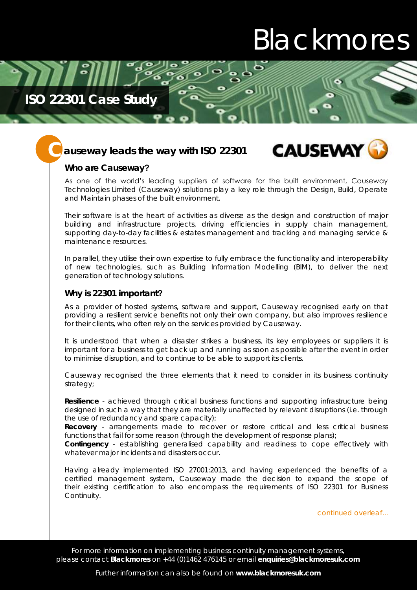# Blackmores

### **ISO 22301 Case Study**

### auseway leads the way with ISO 22301 **CAUSEWAY C**



### **Who are Causeway?**

As one of the world's leading suppliers of software for the built environment, Causeway Technologies Limited (Causeway) solutions play a key role through the Design, Build, Operate and Maintain phases of the built environment.

Their software is at the heart of activities as diverse as the design and construction of major building and infrastructure projects, driving efficiencies in supply chain management, supporting day-to-day facilities & estates management and tracking and managing service & maintenance resources.

In parallel, they utilise their own expertise to fully embrace the functionality and interoperability of new technologies, such as Building Information Modelling (BIM), to deliver the next generation of technology solutions.

#### **Why is 22301 important?**

As a provider of hosted systems, software and support, Causeway recognised early on that providing a resilient service benefits not only their own company, but also improves resilience for their clients, who often rely on the services provided by Causeway.

It is understood that when a disaster strikes a business, its key employees or suppliers it is important for a business to get back up and running as soon as possible after the event in order to minimise disruption, and to continue to be able to support its clients.

Causeway recognised the three elements that it need to consider in its business continuity strategy;

**Resilience** - achieved through critical business functions and supporting infrastructure being designed in such a way that they are materially unaffected by relevant disruptions (i.e. through the use of redundancy and spare capacity);

**Recovery** - arrangements made to recover or restore critical and less critical business functions that fail for some reason (through the development of response plans);

**Contingency** - establishing generalised capability and readiness to cope effectively with whatever major incidents and disasters occur.

Having already implemented ISO 27001:2013, and having experienced the benefits of a certified management system, Causeway made the decision to expand the scope of their existing certification to also encompass the requirements of ISO 22301 for Business Continuity.

*continued overleaf...*

For more information on implementing business continuity management systems, please contact **Blackmores** on +44 (0)1462 476145 or email **enquiries@blackmoresuk.com**